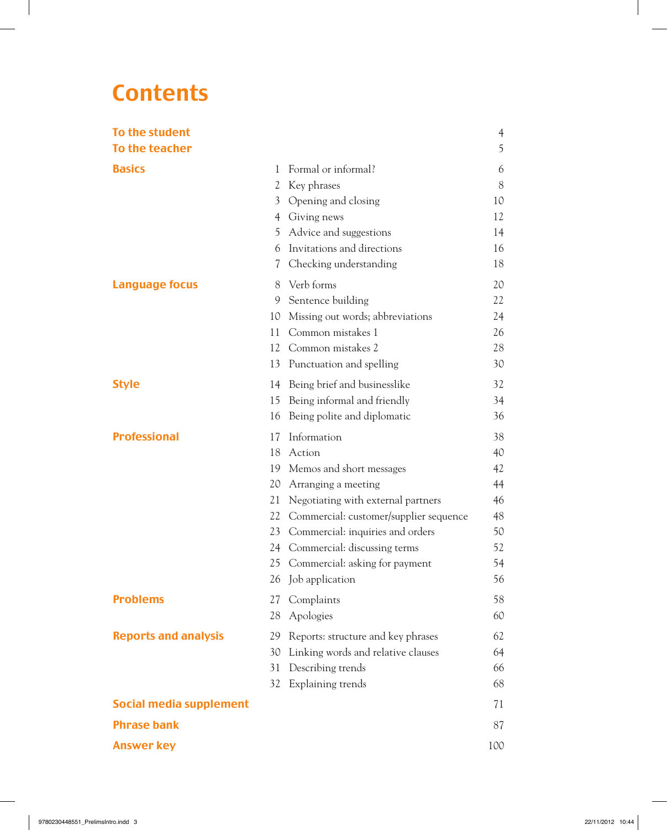# **Contents**

 $\overline{\phantom{a}}$ 

| To the student                 |    |                                        | $\overline{4}$ |
|--------------------------------|----|----------------------------------------|----------------|
| To the teacher                 |    |                                        | 5              |
| <b>Basics</b>                  | 1  | Formal or informal?                    | 6              |
|                                | 2  | Key phrases                            | 8              |
|                                | 3  | Opening and closing                    | 10             |
|                                |    | 4 Giving news                          | 12             |
|                                | 5. | Advice and suggestions                 | 14             |
|                                | 6  | Invitations and directions             | 16             |
|                                | 7  | Checking understanding                 | 18             |
| <b>Language focus</b>          | 8  | Verb forms                             | 20             |
|                                | 9  | Sentence building                      | 22             |
|                                | 10 | Missing out words; abbreviations       | 24             |
|                                | 11 | Common mistakes 1                      | 26             |
|                                | 12 | Common mistakes 2                      | 28             |
|                                | 13 | Punctuation and spelling               | 30             |
| <b>Style</b>                   | 14 | Being brief and businesslike           | 32             |
|                                | 15 | Being informal and friendly            | 34             |
|                                | 16 | Being polite and diplomatic            | 36             |
| <b>Professional</b>            | 17 | Information                            | 38             |
|                                | 18 | Action                                 | 40             |
|                                | 19 | Memos and short messages               | 42             |
|                                | 20 | Arranging a meeting                    | 44             |
|                                | 21 | Negotiating with external partners     | 46             |
|                                | 22 | Commercial: customer/supplier sequence | 48             |
|                                | 23 | Commercial: inquiries and orders       | 50             |
|                                | 24 | Commercial: discussing terms           | 52             |
|                                | 25 | Commercial: asking for payment         | 54             |
|                                | 26 | Job application                        | 56             |
| <b>Problems</b>                | 27 | Complaints                             | 58             |
|                                | 28 | Apologies                              | 60             |
| <b>Reports and analysis</b>    | 29 | Reports: structure and key phrases     | 62             |
|                                | 30 | Linking words and relative clauses     | 64             |
|                                | 31 | Describing trends                      | 66             |
|                                | 32 | Explaining trends                      | 68             |
| <b>Social media supplement</b> |    |                                        | 71             |
| <b>Phrase bank</b>             |    |                                        | 87             |
| <b>Answer key</b>              |    |                                        | 100            |

 $\overline{\phantom{a}}$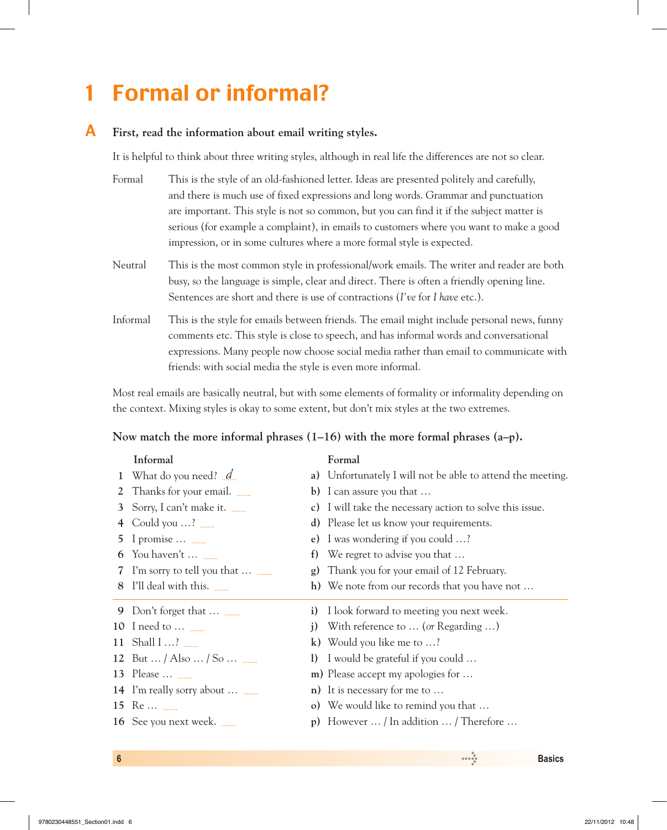# 1 Formal or informal?

## A **First, read the information about email writing styles.**

It is helpful to think about three writing styles, although in real life the differences are not so clear.

| Formal | This is the style of an old-fashioned letter. Ideas are presented politely and carefully, |
|--------|-------------------------------------------------------------------------------------------|
|        | and there is much use of fixed expressions and long words. Grammar and punctuation        |
|        | are important. This style is not so common, but you can find it if the subject matter is  |
|        | serious (for example a complaint), in emails to customers where you want to make a good   |
|        | impression, or in some cultures where a more formal style is expected.                    |
|        |                                                                                           |

- Neutral This is the most common style in professional/work emails. The writer and reader are both busy, so the language is simple, clear and direct. There is often a friendly opening line. Sentences are short and there is use of contractions (*I've* for *I have* etc.).
- Informal This is the style for emails between friends. The email might include personal news, funny comments etc. This style is close to speech, and has informal words and conversational expressions. Many people now choose social media rather than email to communicate with friends: with social media the style is even more informal.

Most real emails are basically neutral, but with some elements of formality or informality depending on the context. Mixing styles is okay to some extent, but don't mix styles at the two extremes.

### **Now match the more informal phrases (1–16) with the more formal phrases (a–p).**

| Informal                    |                                                                                                                                                                                                                                                                         | Formal                                                     |
|-----------------------------|-------------------------------------------------------------------------------------------------------------------------------------------------------------------------------------------------------------------------------------------------------------------------|------------------------------------------------------------|
| What do you need? <u>d</u>  |                                                                                                                                                                                                                                                                         | a) Unfortunately I will not be able to attend the meeting. |
| Thanks for your email.      | b)                                                                                                                                                                                                                                                                      | I can assure you that                                      |
| Sorry, I can't make it.     | c)                                                                                                                                                                                                                                                                      | I will take the necessary action to solve this issue.      |
| Could you $\dots$ ? $\dots$ | d)                                                                                                                                                                                                                                                                      | Please let us know your requirements.                      |
|                             | e)                                                                                                                                                                                                                                                                      | I was wondering if you could ?                             |
| You haven't                 | f)                                                                                                                                                                                                                                                                      | We regret to advise you that                               |
|                             | g)                                                                                                                                                                                                                                                                      | Thank you for your email of 12 February.                   |
|                             |                                                                                                                                                                                                                                                                         | h) We note from our records that you have not $\dots$      |
|                             | $\mathbf{i}$                                                                                                                                                                                                                                                            | I look forward to meeting you next week.                   |
|                             | $\mathbf{j}$                                                                                                                                                                                                                                                            | With reference to  (or Regarding )                         |
|                             |                                                                                                                                                                                                                                                                         | k) Would you like me to $\dots$ ?                          |
|                             | $\left( \mathbf{I}\right)$                                                                                                                                                                                                                                              | I would be grateful if you could                           |
|                             |                                                                                                                                                                                                                                                                         | m) Please accept my apologies for                          |
|                             |                                                                                                                                                                                                                                                                         | $n)$ It is necessary for me to                             |
|                             |                                                                                                                                                                                                                                                                         | o) We would like to remind you that                        |
| 16 See you next week.       | p)                                                                                                                                                                                                                                                                      | However  / In addition  / Therefore                        |
|                             | I promise $\dots$ $\dots$<br>I'm sorry to tell you that<br>I'll deal with this.<br>Don't forget that<br>10 I need to $\dots$ $\dots$<br>11 Shall $12$<br>12 But  / Also  / So $\frac{1}{2}$<br>13 Please $\ldots$<br>14 I'm really sorry about $\dots$ $\dots$<br>15 Re |                                                            |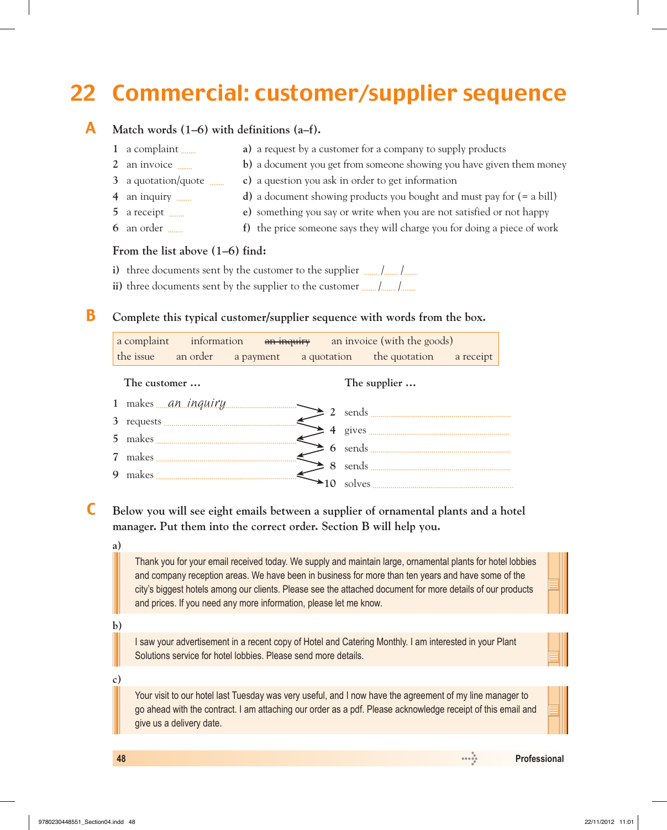# 22 Commercial: customer/supplier sequence

## A **Match words (1–6) with definitions (a–f).**

| 1 a complaint                      | a) a request by a customer for a company to supply products                             |
|------------------------------------|-----------------------------------------------------------------------------------------|
| 2 an invoice                       | b) a document you get from someone showing you have given them money                    |
| 3 a quotation/quote $\frac{1}{2}$  | c) a question you ask in order to get information                                       |
| 4 an inquiry                       | <b>d</b> ) a document showing products you bought and must pay for $(= a \text{ bill})$ |
| 5 a receipt                        | e) something you say or write when you are not satisfied or not happy                   |
| $6$ an order $\ldots$              | f) the price someone says they will charge you for doing a piece of work                |
| From the list shows $(1, 6)$ find. |                                                                                         |

## **From the list above (1–6) find:**

- **i)** three documents sent by the customer to the supplier  $\frac{1}{\text{num}}$ /  $\frac{1}{\text{num}}$
- ii) three documents sent by the supplier to the customer  $\frac{1}{\text{num}}$  / <u>where</u>

## B **Complete this typical customer/supplier sequence with words from the box.**

|   |              |  |  |  |  | a complaint information an inquiry an invoice (with the goods)                                                                                                                                                                                                                          |  |
|---|--------------|--|--|--|--|-----------------------------------------------------------------------------------------------------------------------------------------------------------------------------------------------------------------------------------------------------------------------------------------|--|
|   |              |  |  |  |  | the issue an order a payment a quotation the quotation a receipt                                                                                                                                                                                                                        |  |
|   | The customer |  |  |  |  | The supplier                                                                                                                                                                                                                                                                            |  |
|   |              |  |  |  |  |                                                                                                                                                                                                                                                                                         |  |
|   |              |  |  |  |  | 3 requests $\overbrace{\hspace{2cm}} 4$ gives $\overbrace{\hspace{2cm}} 4$                                                                                                                                                                                                              |  |
|   |              |  |  |  |  |                                                                                                                                                                                                                                                                                         |  |
|   |              |  |  |  |  |                                                                                                                                                                                                                                                                                         |  |
| 9 |              |  |  |  |  | makes $\frac{1}{2}$ a sends $\frac{1}{2}$ and $\frac{1}{2}$ and $\frac{1}{2}$ and $\frac{1}{2}$ and $\frac{1}{2}$ and $\frac{1}{2}$ and $\frac{1}{2}$ and $\frac{1}{2}$ and $\frac{1}{2}$ and $\frac{1}{2}$ and $\frac{1}{2}$ and $\frac{1}{2}$ and $\frac{1}{2}$ and $\frac{1}{2}$ and |  |
|   |              |  |  |  |  |                                                                                                                                                                                                                                                                                         |  |

 C **Below you will see eight emails between a supplier of ornamental plants and a hotel manager. Put them into the correct order. Section B will help you.**

**a)**

Thank you for your email received today. We supply and maintain large, ornamental plants for hotel lobbies and company reception areas. We have been in business for more than ten years and have some of the city's biggest hotels among our clients. Please see the attached document for more details of our products and prices. If you need any more information, please let me know.

**b)**

I saw your advertisement in a recent copy of Hotel and Catering Monthly. I am interested in your Plant Solutions service for hotel lobbies. Please send more details.

**c)**

Your visit to our hotel last Tuesday was very useful, and I now have the agreement of my line manager to go ahead with the contract. I am attaching our order as a pdf. Please acknowledge receipt of this email and give us a delivery date.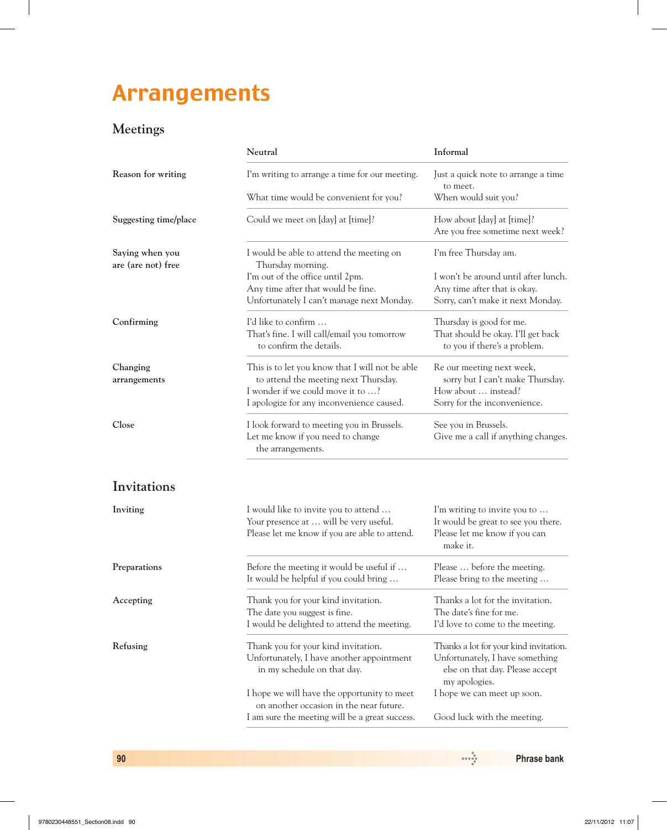# Arrangements

# **Meetings**

|                                       | Neutral                                                                                                                                                                   | Informal                                                                                                                      |  |
|---------------------------------------|---------------------------------------------------------------------------------------------------------------------------------------------------------------------------|-------------------------------------------------------------------------------------------------------------------------------|--|
| Reason for writing                    | I'm writing to arrange a time for our meeting.                                                                                                                            | Just a quick note to arrange a time<br>to meet.                                                                               |  |
|                                       | What time would be convenient for you?                                                                                                                                    | When would suit you?                                                                                                          |  |
| Suggesting time/place                 | Could we meet on [day] at [time]?                                                                                                                                         | How about [day] at [time]?<br>Are you free sometime next week?                                                                |  |
| Saying when you<br>are (are not) free | I would be able to attend the meeting on<br>Thursday morning.                                                                                                             | I'm free Thursday am.                                                                                                         |  |
|                                       | I'm out of the office until 2pm.<br>Any time after that would be fine.<br>Unfortunately I can't manage next Monday.                                                       | I won't be around until after lunch.<br>Any time after that is okay.<br>Sorry, can't make it next Monday.                     |  |
| Confirming                            | I'd like to confirm<br>That's fine. I will call/email you tomorrow<br>to confirm the details.                                                                             | Thursday is good for me.<br>That should be okay. I'll get back<br>to you if there's a problem.                                |  |
| Changing<br>arrangements              | This is to let you know that I will not be able<br>to attend the meeting next Thursday.<br>I wonder if we could move it to ?<br>I apologize for any inconvenience caused. | Re our meeting next week,<br>sorry but I can't make Thursday.<br>How about  instead?<br>Sorry for the inconvenience.          |  |
| Close                                 | I look forward to meeting you in Brussels.<br>Let me know if you need to change<br>the arrangements.                                                                      | See you in Brussels.<br>Give me a call if anything changes.                                                                   |  |
| Invitations                           |                                                                                                                                                                           |                                                                                                                               |  |
| Inviting                              | I would like to invite you to attend<br>Your presence at  will be very useful.<br>Please let me know if you are able to attend.                                           | I'm writing to invite you to<br>It would be great to see you there.<br>Please let me know if you can<br>make it.              |  |
| Preparations                          | Before the meeting it would be useful if<br>It would be helpful if you could bring                                                                                        | Please  before the meeting.<br>Please bring to the meeting                                                                    |  |
| Accepting                             | Thank you for your kind invitation.<br>The date you suggest is fine.<br>I would be delighted to attend the meeting.                                                       | Thanks a lot for the invitation.<br>The date's fine for me.<br>I'd love to come to the meeting.                               |  |
| Refusing                              | Thank you for your kind invitation.<br>Unfortunately, I have another appointment<br>in my schedule on that day.                                                           | Thanks a lot for your kind invitation.<br>Unfortunately, I have something<br>else on that day. Please accept<br>my apologies. |  |
|                                       | I hope we will have the opportunity to meet<br>on another occasion in the near future.<br>I am sure the meeting will be a great success.                                  | I hope we can meet up soon.                                                                                                   |  |
|                                       |                                                                                                                                                                           | Good luck with the meeting.                                                                                                   |  |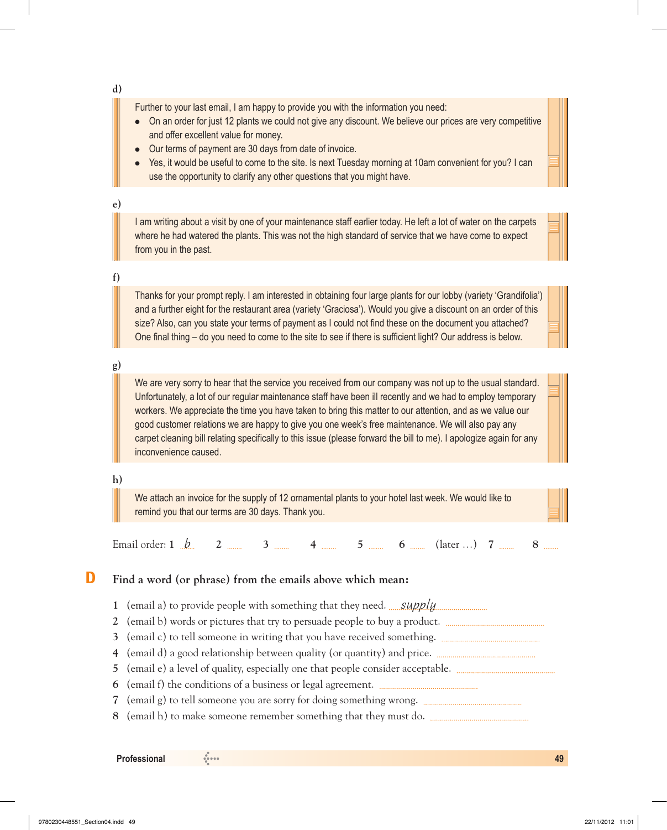**d)**

Further to your last email, I am happy to provide you with the information you need:

- On an order for just 12 plants we could not give any discount. We believe our prices are very competitive and offer excellent value for money.
- Our terms of payment are 30 days from date of invoice.
- Yes, it would be useful to come to the site. Is next Tuesday morning at 10am convenient for you? I can use the opportunity to clarify any other questions that you might have.

## **e)**

I am writing about a visit by one of your maintenance staff earlier today. He left a lot of water on the carpets where he had watered the plants. This was not the high standard of service that we have come to expect from you in the past.

### **f)**

Thanks for your prompt reply. I am interested in obtaining four large plants for our lobby (variety 'Grandifolia') and a further eight for the restaurant area (variety 'Graciosa'). Would you give a discount on an order of this size? Also, can you state your terms of payment as I could not find these on the document you attached? One final thing – do you need to come to the site to see if there is sufficient light? Our address is below.

## **g)**

We are very sorry to hear that the service you received from our company was not up to the usual standard. Unfortunately, a lot of our regular maintenance staff have been ill recently and we had to employ temporary workers. We appreciate the time you have taken to bring this matter to our attention, and as we value our good customer relations we are happy to give you one week's free maintenance. We will also pay any carpet cleaning bill relating specifically to this issue (please forward the bill to me). I apologize again for any inconvenience caused.

## **h)**

We attach an invoice for the supply of 12 ornamental plants to your hotel last week. We would like to remind you that our terms are 30 days. Thank you.

Email order: **1**  $\cancel{b}$  **2**  $\frac{1}{2}$  **3**  $\frac{1}{2}$  **4**  $\frac{1}{2}$  **5**  $\frac{1}{2}$  **6**  $\frac{1}{2}$  (later …) **7**  $\frac{1}{2}$  **8**  $\frac{1}{2}$ 

## D **Find a word (or phrase) from the emails above which mean:**

- **1** (email a) to provide people with something that they need. *supply* must consider the vertex of  $\frac{1}{2}$
- **2**  (email b) words or pictures that try to persuade people to buy a product.
- **3**  (email c) to tell someone in writing that you have received something.
- **4**  (email d) a good relationship between quality (or quantity) and price.
- **5**  (email e) a level of quality, especially one that people consider acceptable.
- **6**  (email f) the conditions of a business or legal agreement.
- **7**  (email g) to tell someone you are sorry for doing something wrong.
- **8**  (email h) to make someone remember something that they must do.